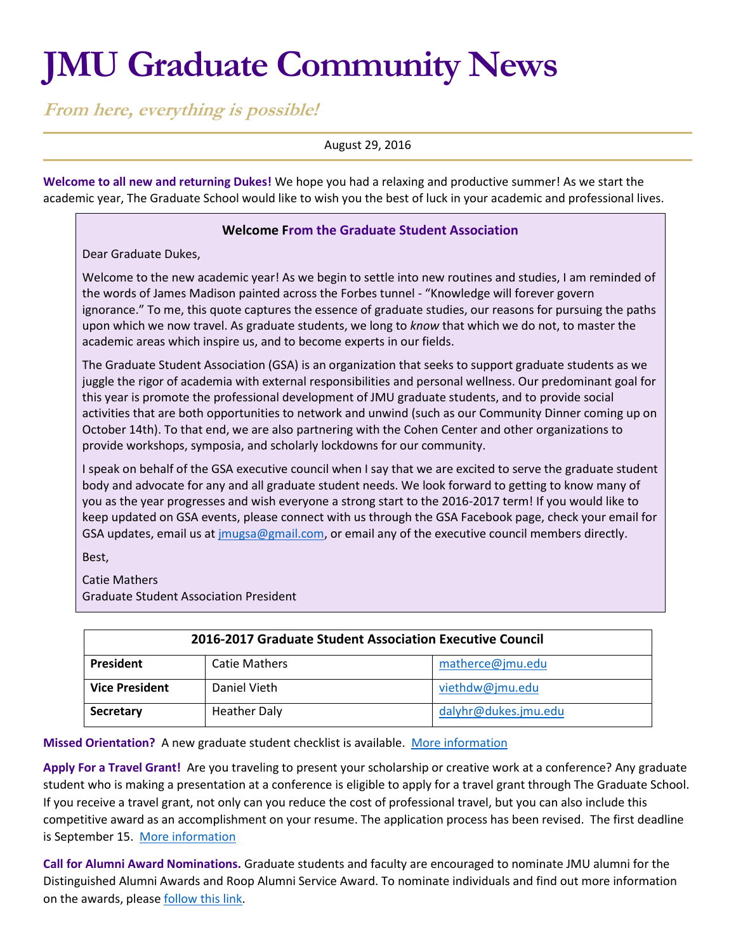# **JMU Graduate Community News**

**From here, everything is possible!**

August 29, 2016

**Welcome to all new and returning Dukes!** We hope you had a relaxing and productive summer! As we start the academic year, The Graduate School would like to wish you the best of luck in your academic and professional lives.

## **Welcome From the Graduate Student Association**

Dear Graduate Dukes,

Welcome to the new academic year! As we begin to settle into new routines and studies, I am reminded of the words of James Madison painted across the Forbes tunnel - "Knowledge will forever govern ignorance." To me, this quote captures the essence of graduate studies, our reasons for pursuing the paths upon which we now travel. As graduate students, we long to *know* that which we do not, to master the academic areas which inspire us, and to become experts in our fields.

The Graduate Student Association (GSA) is an organization that seeks to support graduate students as we juggle the rigor of academia with external responsibilities and personal wellness. Our predominant goal for this year is promote the professional development of JMU graduate students, and to provide social activities that are both opportunities to network and unwind (such as our Community Dinner coming up on October 14th). To that end, we are also partnering with the Cohen Center and other organizations to provide workshops, symposia, and scholarly lockdowns for our community.

I speak on behalf of the GSA executive council when I say that we are excited to serve the graduate student body and advocate for any and all graduate student needs. We look forward to getting to know many of you as the year progresses and wish everyone a strong start to the 2016-2017 term! If you would like to keep updated on GSA events, please connect with us through the GSA Facebook page, check your email for GSA updates, email us a[t jmugsa@gmail.com,](mailto:jmugsa@gmail.com) or email any of the executive council members directly.

Best,

Catie Mathers Graduate Student Association President

| 2016-2017 Graduate Student Association Executive Council |                     |                      |
|----------------------------------------------------------|---------------------|----------------------|
| <b>President</b>                                         | Catie Mathers       | matherce@jmu.edu     |
| <b>Vice President</b>                                    | Daniel Vieth        | viethdw@jmu.edu      |
| Secretary                                                | <b>Heather Daly</b> | dalyhr@dukes.jmu.edu |

**Missed Orientation?** A new graduate student checklist is available. [More information](http://www.jmu.edu/grad/current-students/New-Graduate-Student-Checklist.shtml)

**Apply For a Travel Grant!** Are you traveling to present your scholarship or creative work at a conference? Any graduate student who is making a presentation at a conference is eligible to apply for a travel grant through The Graduate School. If you receive a travel grant, not only can you reduce the cost of professional travel, but you can also include this competitive award as an accomplishment on your resume. The application process has been revised. The first deadline is September 15. [More information](http://www.jmu.edu/grad/current-students/awards/travel-grants.shtml)

**Call for Alumni Award Nominations.** Graduate students and faculty are encouraged to nominate JMU alumni for the Distinguished Alumni Awards and Roop Alumni Service Award. To nominate individuals and find out more information on the awards, pleas[e follow this link.](http://www.alumni.jmu.edu/s/1591/gid3-Alumni/index.aspx?sid=1591&gid=3&pgid=508&cid=1436&post_id=0)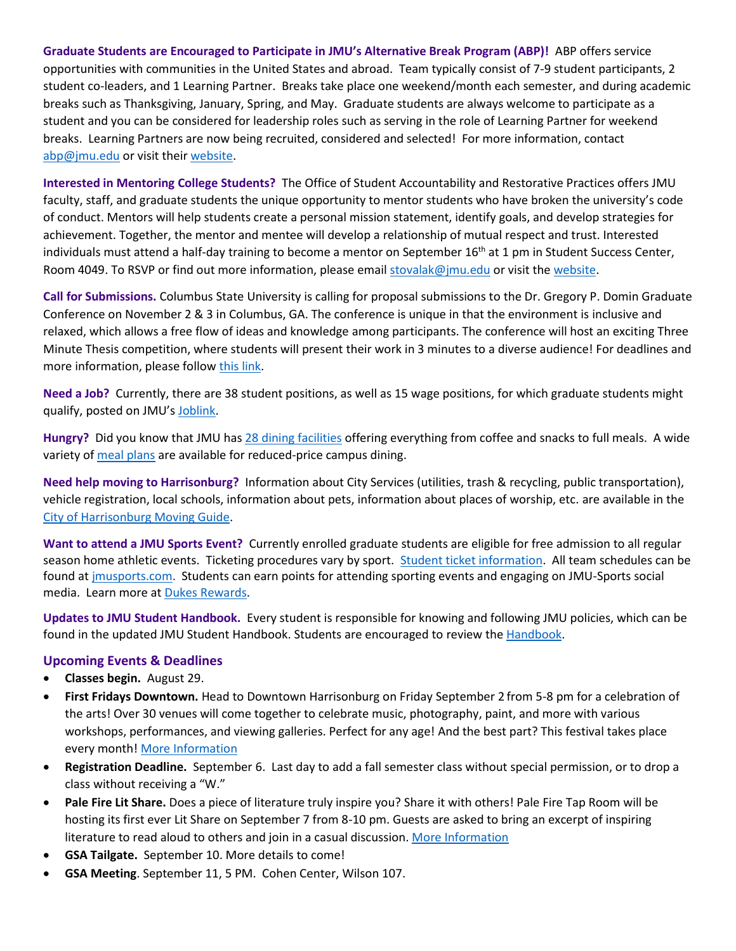**Graduate Students are Encouraged to Participate in JMU's Alternative Break Program (ABP)!** ABP offers service opportunities with communities in the United States and abroad. Team typically consist of 7-9 student participants, 2 student co-leaders, and 1 Learning Partner. Breaks take place one weekend/month each semester, and during academic breaks such as Thanksgiving, January, Spring, and May. Graduate students are always welcome to participate as a student and you can be considered for leadership roles such as serving in the role of Learning Partner for weekend breaks. Learning Partners are now being recruited, considered and selected! For more information, contact [abp@jmu.edu](mailto:abp@jmu.edu) or visit thei[r website.](http://www.jmu.edu/abp/)

**Interested in Mentoring College Students?** The Office of Student Accountability and Restorative Practices offers JMU faculty, staff, and graduate students the unique opportunity to mentor students who have broken the university's code of conduct. Mentors will help students create a personal mission statement, identify goals, and develop strategies for achievement. Together, the mentor and mentee will develop a relationship of mutual respect and trust. Interested individuals must attend a half-day training to become a mentor on September  $16<sup>th</sup>$  at 1 pm in Student Success Center, Room 4049. To RSVP or find out more information, please emai[l stovalak@jmu.edu](mailto:stovalak@jmu.edu) or visit th[e website.](http://www.jmu.edu/osarp/civiclearning/mentor/index.shtml)

**Call for Submissions.** Columbus State University is calling for proposal submissions to the Dr. Gregory P. Domin Graduate Conference on November 2 & 3 in Columbus, GA. The conference is unique in that the environment is inclusive and relaxed, which allows a free flow of ideas and knowledge among participants. The conference will host an exciting Three Minute Thesis competition, where students will present their work in 3 minutes to a diverse audience! For deadlines and more information, please follow [this link.](https://gradschool.columbusstate.edu/gradconference/)

**Need a Job?** Currently, there are 38 student positions, as well as 15 wage positions, for which graduate students might qualify, posted on JMU's [Joblink.](https://joblink.jmu.edu/applicants/jsp/shared/frameset/Frameset.jsp?time=1472213991546)

**Hungry?** Did you know that JMU has 28 [dining facilities](https://jmu.campusdish.com/) offering everything from coffee and snacks to full meals. A wide variety of [meal plans](http://www.jmu.edu/cardctr/mealplan.shtml) are available for reduced-price campus dining.

**Need help moving to Harrisonburg?** Information about City Services (utilities, trash & recycling, public transportation), vehicle registration, local schools, information about pets, information about places of worship, etc. are available in the [City of Harrisonburg Moving Guide.](https://www.harrisonburgva.gov/moving-guide)

**Want to attend a JMU Sports Event?** Currently enrolled graduate students are eligible for free admission to all regular season home athletic events. Ticketing procedures vary by sport. [Student ticket information.](http://www.jmusports.com/news/2014/6/23/Stu_0623144511.aspx) All team schedules can be found at [jmusports.com.](http://jmusports.com/) Students can earn points for attending sporting events and engaging on JMU-Sports social media. Learn more at **Dukes Rewards**.

**Updates to JMU Student Handbook.** Every student is responsible for knowing and following JMU policies, which can be found in the updated JMU Student [Handbook.](https://www.jmu.edu/osarp/handbook/index.shtml) Students are encouraged to review the Handbook.

### **Upcoming Events & Deadlines**

- **Classes begin.** August 29.
- **First Fridays Downtown.** Head to Downtown Harrisonburg on Friday September 2 from 5-8 pm for a celebration of the arts! Over 30 venues will come together to celebrate music, photography, paint, and more with various workshops, performances, and viewing galleries. Perfect for any age! And the best part? This festival takes place every month! [More Information](http://downtownharrisonburg.org/downtown-calendar/)
- **Registration Deadline.** September 6. Last day to add a fall semester class without special permission, or to drop a class without receiving a "W."
- **Pale Fire Lit Share.** Does a piece of literature truly inspire you? Share it with others! Pale Fire Tap Room will be hosting its first ever Lit Share on September 7 from 8-10 pm. Guests are asked to bring an excerpt of inspiring literature to read aloud to others and join in a casual discussion[. More Information](http://downtownharrisonburg.org/downtown-calendar/)
- **GSA Tailgate.** September 10. More details to come!
- **GSA Meeting**. September 11, 5 PM. Cohen Center, Wilson 107.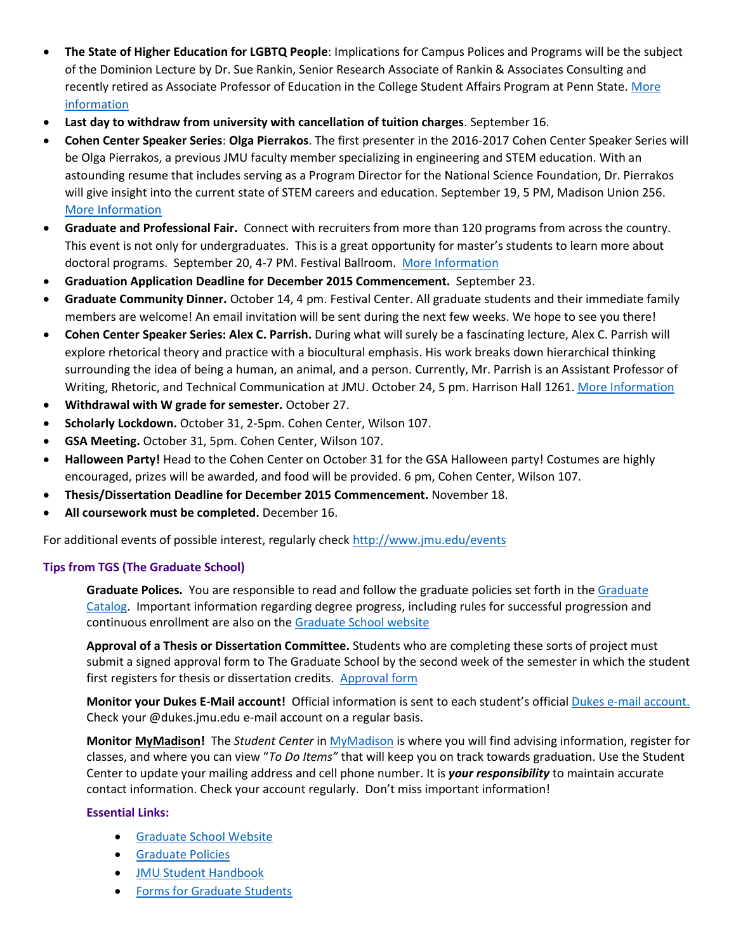- **The State of Higher Education for LGBTQ People**: Implications for Campus Polices and Programs will be the subject of the Dominion Lecture by Dr. Sue Rankin, Senior Research Associate of Rankin & Associates Consulting and recently retired as Associate Professor of Education in the College Student Affairs Program at Penn State. [More](http://www.jmu.edu/events/caucusgenderequality/2016/09/14-dominion-lecture.shtml)  [information](http://www.jmu.edu/events/caucusgenderequality/2016/09/14-dominion-lecture.shtml)
- **Last day to withdraw from university with cancellation of tuition charges**. September 16.
- **Cohen Center Speaker Series**: **Olga Pierrakos**. The first presenter in the 2016-2017 Cohen Center Speaker Series will be Olga Pierrakos, a previous JMU faculty member specializing in engineering and STEM education. With an astounding resume that includes serving as a Program Director for the National Science Foundation, Dr. Pierrakos will give insight into the current state of STEM careers and education. September 19, 5 PM, Madison Union 256. [More Information](http://www.jmu.edu/stories/cohencenter/2016/9-19-pierrakos-bio.shtml)
- **Graduate and Professional Fair.** Connect with recruiters from more than 120 programs from across the country. This event is not only for undergraduates. This is a great opportunity for master's students to learn more about doctoral programs. September 20, 4-7 PM. Festival Ballroom. [More Information](https://www.jmu.edu/gradfairs/students.shtml)
- **Graduation Application Deadline for December 2015 Commencement.** September 23.
- **Graduate Community Dinner.** October 14, 4 pm. Festival Center. All graduate students and their immediate family members are welcome! An email invitation will be sent during the next few weeks. We hope to see you there!
- **Cohen Center Speaker Series: Alex C. Parrish.** During what will surely be a fascinating lecture, Alex C. Parrish will explore rhetorical theory and practice with a biocultural emphasis. His work breaks down hierarchical thinking surrounding the idea of being a human, an animal, and a person. Currently, Mr. Parrish is an Assistant Professor of Writing, Rhetoric, and Technical Communication at JMU. October 24, 5 pm. Harrison Hall 1261. [More Information](http://www.jmu.edu/stories/cohencenter/2016/10-24-parrish-bio.shtml)
- **Withdrawal with W grade for semester.** October 27.
- **Scholarly Lockdown.** October 31, 2-5pm. Cohen Center, Wilson 107.
- **GSA Meeting.** October 31, 5pm. Cohen Center, Wilson 107.
- **Halloween Party!** Head to the Cohen Center on October 31 for the GSA Halloween party! Costumes are highly encouraged, prizes will be awarded, and food will be provided. 6 pm, Cohen Center, Wilson 107.
- **Thesis/Dissertation Deadline for December 2015 Commencement.** November 18.
- **All coursework must be completed.** December 16.

For additional events of possible interest, regularly check<http://www.jmu.edu/events>

### **Tips from TGS (The Graduate School)**

**Graduate Polices.** You are responsible to read and follow the graduate policies set forth in th[e Graduate](http://jmu.edu/catalog)  [Catalog.](http://jmu.edu/catalog) Important information regarding degree progress, including rules for successful progression and continuous enrollment are also on th[e Graduate School website](http://www.jmu.edu/grad/current-students/degree-progress/beginning.shtml)

**Approval of a Thesis or Dissertation Committee.** Students who are completing these sorts of project must submit a signed approval form to The Graduate School by the second week of the semester in which the student first registers for thesis or dissertation credits. [Approval form](http://www.jmu.edu/grad/_files/CommitteeApprovalForm2014-15.pdf)

**Monitor your Dukes E-Mail account!** Official information is sent to each student's officia[l Dukes e-mail account.](http://www.jmu.edu/computing/helpdesk/selfhelp/DukesEmail.shtml) Check your @dukes.jmu.edu e-mail account on a regular basis.

**Monitor [MyMadison!](http://mymadison.jmu.edu/)** The *Student Center* i[n MyMadison](http://mymadison.jmu.edu/) is where you will find advising information, register for classes, and where you can view "*To Do Items"* that will keep you on track towards graduation. Use the Student Center to update your mailing address and cell phone number. It is *your responsibility* to maintain accurate contact information. Check your account regularly. Don't miss important information!

### **Essential Links:**

- **[Graduate School Website](http://www.jmu.edu/grad)**
- [Graduate Policies](http://www.jmu.edu/catalog/index.shtml)
- [JMU Student Handbook](https://www.jmu.edu/osarp/handbook/index.shtml)
- **•** [Forms for Graduate Students](http://www.jmu.edu/grad/current-students/graduate-forms.shtml)